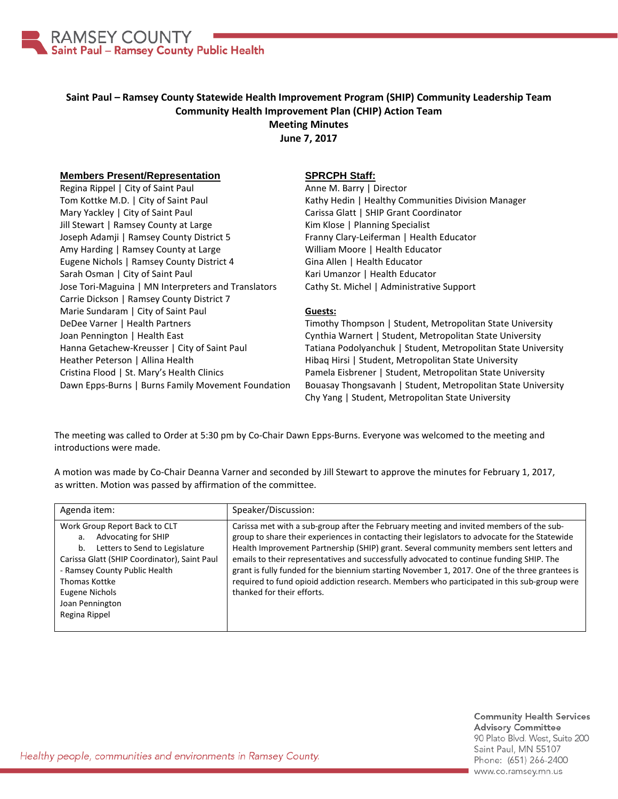

## **Saint Paul – Ramsey County Statewide Health Improvement Program (SHIP) Community Leadership Team Community Health Improvement Plan (CHIP) Action Team Meeting Minutes**

**June 7, 2017**

## **Members Present/Representation**

Regina Rippel | City of Saint Paul Tom Kottke M.D. | City of Saint Paul Mary Yackley | City of Saint Paul Jill Stewart | Ramsey County at Large Joseph Adamji | Ramsey County District 5 Amy Harding | Ramsey County at Large Eugene Nichols | Ramsey County District 4 Sarah Osman | City of Saint Paul Jose Tori-Maguina | MN Interpreters and Translators Carrie Dickson | Ramsey County District 7 Marie Sundaram | City of Saint Paul DeDee Varner | Health Partners Joan Pennington | Health East Hanna Getachew-Kreusser | City of Saint Paul Heather Peterson | Allina Health Cristina Flood | St. Mary's Health Clinics Dawn Epps-Burns | Burns Family Movement Foundation

## **SPRCPH Staff:**

Anne M. Barry | Director Kathy Hedin | Healthy Communities Division Manager Carissa Glatt | SHIP Grant Coordinator Kim Klose | Planning Specialist Franny Clary-Leiferman | Health Educator William Moore | Health Educator Gina Allen | Health Educator Kari Umanzor | Health Educator Cathy St. Michel | Administrative Support

## **Guests:**

Timothy Thompson | Student, Metropolitan State University Cynthia Warnert | Student, Metropolitan State University Tatiana Podolyanchuk | Student, Metropolitan State University Hibaq Hirsi | Student, Metropolitan State University Pamela Eisbrener | Student, Metropolitan State University Bouasay Thongsavanh | Student, Metropolitan State University Chy Yang | Student, Metropolitan State University

The meeting was called to Order at 5:30 pm by Co-Chair Dawn Epps-Burns. Everyone was welcomed to the meeting and introductions were made.

A motion was made by Co-Chair Deanna Varner and seconded by Jill Stewart to approve the minutes for February 1, 2017, as written. Motion was passed by affirmation of the committee.

| Agenda item:                                                                                                                                                                                                                                                      | Speaker/Discussion:                                                                                                                                                                                                                                                                                                                                                                                                                                                                                                                                                                                             |
|-------------------------------------------------------------------------------------------------------------------------------------------------------------------------------------------------------------------------------------------------------------------|-----------------------------------------------------------------------------------------------------------------------------------------------------------------------------------------------------------------------------------------------------------------------------------------------------------------------------------------------------------------------------------------------------------------------------------------------------------------------------------------------------------------------------------------------------------------------------------------------------------------|
| Work Group Report Back to CLT<br><b>Advocating for SHIP</b><br>a.<br>Letters to Send to Legislature<br>b.<br>Carissa Glatt (SHIP Coordinator), Saint Paul<br>- Ramsey County Public Health<br>Thomas Kottke<br>Eugene Nichols<br>Joan Pennington<br>Regina Rippel | Carissa met with a sub-group after the February meeting and invited members of the sub-<br>group to share their experiences in contacting their legislators to advocate for the Statewide<br>Health Improvement Partnership (SHIP) grant. Several community members sent letters and<br>emails to their representatives and successfully advocated to continue funding SHIP. The<br>grant is fully funded for the biennium starting November 1, 2017. One of the three grantees is<br>required to fund opioid addiction research. Members who participated in this sub-group were<br>thanked for their efforts. |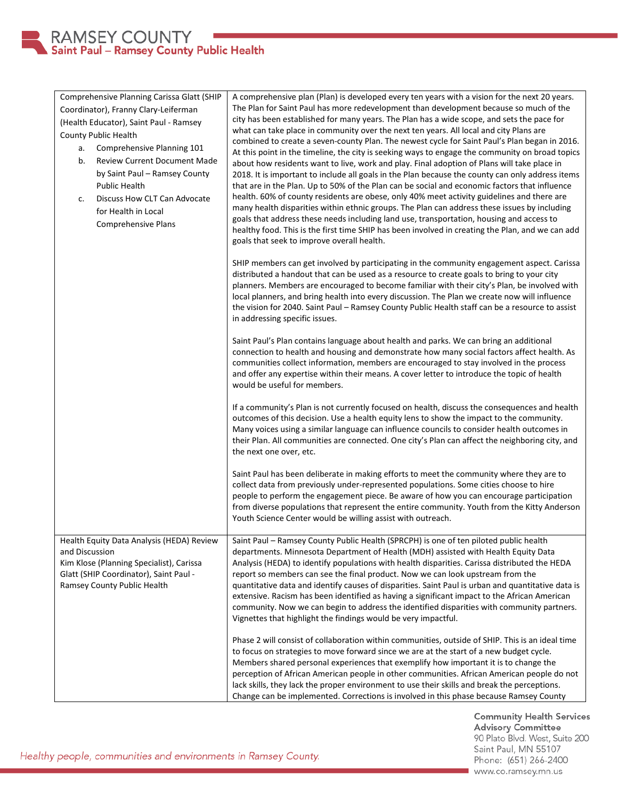| Comprehensive Planning Carissa Glatt (SHIP<br>Coordinator), Franny Clary-Leiferman<br>(Health Educator), Saint Paul - Ramsey<br>County Public Health<br>Comprehensive Planning 101<br>a.<br><b>Review Current Document Made</b><br>b.<br>by Saint Paul - Ramsey County<br><b>Public Health</b><br>Discuss How CLT Can Advocate<br>c.<br>for Health in Local<br><b>Comprehensive Plans</b> | A comprehensive plan (Plan) is developed every ten years with a vision for the next 20 years.<br>The Plan for Saint Paul has more redevelopment than development because so much of the<br>city has been established for many years. The Plan has a wide scope, and sets the pace for<br>what can take place in community over the next ten years. All local and city Plans are<br>combined to create a seven-county Plan. The newest cycle for Saint Paul's Plan began in 2016.<br>At this point in the timeline, the city is seeking ways to engage the community on broad topics<br>about how residents want to live, work and play. Final adoption of Plans will take place in<br>2018. It is important to include all goals in the Plan because the county can only address items<br>that are in the Plan. Up to 50% of the Plan can be social and economic factors that influence<br>health. 60% of county residents are obese, only 40% meet activity guidelines and there are<br>many health disparities within ethnic groups. The Plan can address these issues by including<br>goals that address these needs including land use, transportation, housing and access to<br>healthy food. This is the first time SHIP has been involved in creating the Plan, and we can add<br>goals that seek to improve overall health. |
|-------------------------------------------------------------------------------------------------------------------------------------------------------------------------------------------------------------------------------------------------------------------------------------------------------------------------------------------------------------------------------------------|-------------------------------------------------------------------------------------------------------------------------------------------------------------------------------------------------------------------------------------------------------------------------------------------------------------------------------------------------------------------------------------------------------------------------------------------------------------------------------------------------------------------------------------------------------------------------------------------------------------------------------------------------------------------------------------------------------------------------------------------------------------------------------------------------------------------------------------------------------------------------------------------------------------------------------------------------------------------------------------------------------------------------------------------------------------------------------------------------------------------------------------------------------------------------------------------------------------------------------------------------------------------------------------------------------------------------------------|
|                                                                                                                                                                                                                                                                                                                                                                                           | SHIP members can get involved by participating in the community engagement aspect. Carissa<br>distributed a handout that can be used as a resource to create goals to bring to your city<br>planners. Members are encouraged to become familiar with their city's Plan, be involved with<br>local planners, and bring health into every discussion. The Plan we create now will influence<br>the vision for 2040. Saint Paul - Ramsey County Public Health staff can be a resource to assist<br>in addressing specific issues.                                                                                                                                                                                                                                                                                                                                                                                                                                                                                                                                                                                                                                                                                                                                                                                                      |
|                                                                                                                                                                                                                                                                                                                                                                                           | Saint Paul's Plan contains language about health and parks. We can bring an additional<br>connection to health and housing and demonstrate how many social factors affect health. As<br>communities collect information, members are encouraged to stay involved in the process<br>and offer any expertise within their means. A cover letter to introduce the topic of health<br>would be useful for members.                                                                                                                                                                                                                                                                                                                                                                                                                                                                                                                                                                                                                                                                                                                                                                                                                                                                                                                      |
|                                                                                                                                                                                                                                                                                                                                                                                           | If a community's Plan is not currently focused on health, discuss the consequences and health<br>outcomes of this decision. Use a health equity lens to show the impact to the community.<br>Many voices using a similar language can influence councils to consider health outcomes in<br>their Plan. All communities are connected. One city's Plan can affect the neighboring city, and<br>the next one over, etc.                                                                                                                                                                                                                                                                                                                                                                                                                                                                                                                                                                                                                                                                                                                                                                                                                                                                                                               |
|                                                                                                                                                                                                                                                                                                                                                                                           | Saint Paul has been deliberate in making efforts to meet the community where they are to<br>collect data from previously under-represented populations. Some cities choose to hire<br>people to perform the engagement piece. Be aware of how you can encourage participation<br>from diverse populations that represent the entire community. Youth from the Kitty Anderson<br>Youth Science Center would be willing assist with outreach.                                                                                                                                                                                                                                                                                                                                                                                                                                                                                                                                                                                                                                                                                                                                                                                                                                                                                         |
| Health Equity Data Analysis (HEDA) Review<br>and Discussion<br>Kim Klose (Planning Specialist), Carissa<br>Glatt (SHIP Coordinator), Saint Paul -<br>Ramsey County Public Health                                                                                                                                                                                                          | Saint Paul - Ramsey County Public Health (SPRCPH) is one of ten piloted public health<br>departments. Minnesota Department of Health (MDH) assisted with Health Equity Data<br>Analysis (HEDA) to identify populations with health disparities. Carissa distributed the HEDA<br>report so members can see the final product. Now we can look upstream from the<br>quantitative data and identify causes of disparities. Saint Paul is urban and quantitative data is<br>extensive. Racism has been identified as having a significant impact to the African American<br>community. Now we can begin to address the identified disparities with community partners.<br>Vignettes that highlight the findings would be very impactful.                                                                                                                                                                                                                                                                                                                                                                                                                                                                                                                                                                                                |
|                                                                                                                                                                                                                                                                                                                                                                                           | Phase 2 will consist of collaboration within communities, outside of SHIP. This is an ideal time<br>to focus on strategies to move forward since we are at the start of a new budget cycle.<br>Members shared personal experiences that exemplify how important it is to change the<br>perception of African American people in other communities. African American people do not<br>lack skills, they lack the proper environment to use their skills and break the perceptions.<br>Change can be implemented. Corrections is involved in this phase because Ramsey County                                                                                                                                                                                                                                                                                                                                                                                                                                                                                                                                                                                                                                                                                                                                                         |

**Community Health Services Advisory Committee** 90 Plato Blvd. West, Suite 200 Saint Paul, MN 55107 Phone: (651) 266-2400 www.co.ramsey.mn.us

Healthy people, communities and environments in Ramsey County.

RAMSEY COUNTY<br>Saint Paul – Ramsey County Public Health